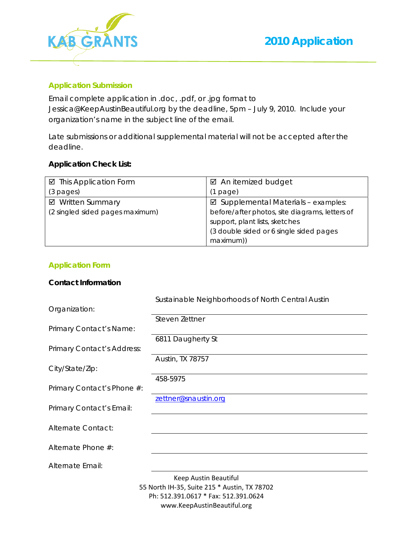

### **Application Submission**

Email complete application in .doc, .pdf, or .jpg format to Jessica@KeepAustinBeautiful.org by the deadline, 5pm – July 9, 2010. Include your organization's name in the subject line of the email.

Late submissions or additional supplemental material will not be accepted after the deadline.

### **Application Check List:**

| ☑ This Application Form         | $\boxtimes$ An itemized budget                 |
|---------------------------------|------------------------------------------------|
| $(3$ pages)                     | $(1$ page)                                     |
| ☑ Written Summary               | $\boxtimes$ Supplemental Materials - examples: |
| (2 singled sided pages maximum) | before/after photos, site diagrams, letters of |
|                                 | support, plant lists, sketches                 |
|                                 | (3 double sided or 6 single sided pages)       |
|                                 | maximum))                                      |

#### **Application Form**

#### **Contact Information**

|                            | Sustainable Neighborhoods of North Central Austin |
|----------------------------|---------------------------------------------------|
| Organization:              |                                                   |
|                            | Steven Zettner                                    |
| Primary Contact's Name:    |                                                   |
|                            | 6811 Daugherty St                                 |
| Primary Contact's Address: |                                                   |
|                            | Austin, TX 78757                                  |
| City/State/Zip:            |                                                   |
| Primary Contact's Phone #: | 458-5975                                          |
|                            | zettner@snaustin.org                              |
| Primary Contact's Email:   |                                                   |
| Alternate Contact:         |                                                   |
|                            |                                                   |
| Alternate Phone #:         |                                                   |
| Alternate Email:           |                                                   |
|                            | Keep Austin Beautiful                             |
|                            | 55 North IH-35, Suite 215 * Austin, TX 78702      |
|                            | Ph: 512.391.0617 * Fax: 512.391.0624              |

www.KeepAustinBeautiful.org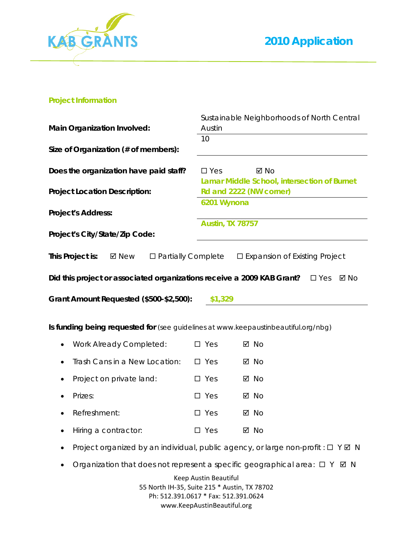

#### **Project Information**

|                                                                                    |                         | Sustainable Neighborhoods of North Central  |
|------------------------------------------------------------------------------------|-------------------------|---------------------------------------------|
| <b>Main Organization Involved:</b>                                                 | Austin                  |                                             |
|                                                                                    | 10                      |                                             |
| Size of Organization (# of members):                                               |                         |                                             |
|                                                                                    |                         |                                             |
| Does the organization have paid staff?                                             | $\square$ Yes           | $\boxtimes$ No                              |
|                                                                                    |                         | Lamar Middle School, intersection of Burnet |
| <b>Project Location Description:</b>                                               | Rd and 2222 (NW corner) |                                             |
|                                                                                    | 6201 Wynona             |                                             |
| <b>Project's Address:</b>                                                          |                         |                                             |
|                                                                                    | <b>Austin, TX 78757</b> |                                             |
| Project's City/State/Zip Code:                                                     |                         |                                             |
|                                                                                    |                         |                                             |
| This Project is:<br><b>Ø</b> New<br>$\square$ Partially Complete                   |                         | $\square$ Expansion of Existing Project     |
|                                                                                    |                         |                                             |
| Did this project or associated organizations receive a 2009 KAB Grant?             |                         | ⊠ No<br>$\square$ Yes                       |
| Grant Amount Requested (\$500-\$2,500):                                            | \$1,329                 |                                             |
|                                                                                    |                         |                                             |
|                                                                                    |                         |                                             |
| Is funding being requested for (see guidelines at www.keepaustinbeautiful.org/nbg) |                         |                                             |
| Work Already Completed:                                                            | $\square$ Yes           | $\boxtimes$ No                              |
|                                                                                    |                         |                                             |
| Trash Cans in a New Location:<br>٠                                                 | $\square$ Yes           | ⊠ No                                        |
| Project on private land:                                                           | $\square$ Yes           | ⊠ No                                        |
|                                                                                    |                         |                                             |
| Prizes:                                                                            | $\square$ Yes           | ⊠ No                                        |

- Refreshment:  $\Box$  Yes  $\Box$  No
- Hiring a contractor: Yes No
- Project organized by an individual, public agency, or large non-profit :  $\Box$  Y  $\boxtimes$  N
- Organization that does not represent a specific geographical area:  $\Box$   $Y$   $\Box$  N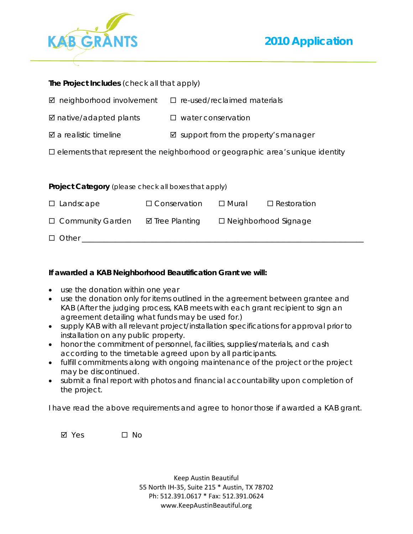



| The Project Includes (check all that apply)                                             |                           |                                    |                             |  |  |
|-----------------------------------------------------------------------------------------|---------------------------|------------------------------------|-----------------------------|--|--|
| $\boxtimes$ neighborhood involvement                                                    |                           | $\Box$ re-used/reclaimed materials |                             |  |  |
| $\boxtimes$ native/adapted plants                                                       |                           | $\Box$ water conservation          |                             |  |  |
| $\boxtimes$ a realistic timeline<br>$\boxtimes$ support from the property's manager     |                           |                                    |                             |  |  |
| $\square$ elements that represent the neighborhood or geographic area's unique identity |                           |                                    |                             |  |  |
|                                                                                         |                           |                                    |                             |  |  |
| <b>Project Category</b> (please check all boxes that apply)                             |                           |                                    |                             |  |  |
| $\square$ Landscape                                                                     | $\Box$ Conservation       | □ Mural                            | $\Box$ Restoration          |  |  |
| $\Box$ Community Garden                                                                 | $\boxtimes$ Tree Planting |                                    | $\Box$ Neighborhood Signage |  |  |
|                                                                                         |                           |                                    |                             |  |  |

#### **If awarded a KAB Neighborhood Beautification Grant we will:**

 $\Box$  Other  $\Box$ 

- use the donation within one year
- use the donation only for items outlined in the agreement between grantee and KAB *(After the judging process, KAB meets with each grant recipient to sign an agreement detailing what funds may be used for.)*
- supply KAB with all relevant project/installation specifications for approval prior to installation on any public property.
- honor the commitment of personnel, facilities, supplies/materials, and cash according to the timetable agreed upon by all participants.
- fulfill commitments along with ongoing maintenance of the project or the project may be discontinued.
- submit a final report with photos and financial accountability upon completion of the project.

I have read the above requirements and agree to honor those if awarded a KAB grant.

 $\boxtimes$  Yes  $\Box$  No.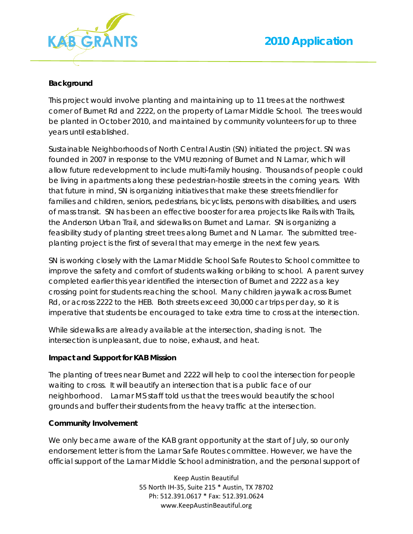

#### **Background**

This project would involve planting and maintaining up to 11 trees at the northwest corner of Burnet Rd and 2222, on the property of Lamar Middle School. The trees would be planted in October 2010, and maintained by community volunteers for up to three years until established.

Sustainable Neighborhoods of North Central Austin (SN) initiated the project. SN was founded in 2007 in response to the VMU rezoning of Burnet and N Lamar, which will allow future redevelopment to include multi-family housing. Thousands of people could be living in apartments along these pedestrian-hostile streets in the coming years. With that future in mind, SN is organizing initiatives that make these streets friendlier for families and children, seniors, pedestrians, bicyclists, persons with disabilities, and users of mass transit. SN has been an effective booster for area projects like Rails with Trails, the Anderson Urban Trail, and sidewalks on Burnet and Lamar. SN is organizing a feasibility study of planting street trees along Burnet and N Lamar. The submitted treeplanting project is the first of several that may emerge in the next few years.

SN is working closely with the Lamar Middle School Safe Routes to School committee to improve the safety and comfort of students walking or biking to school. A parent survey completed earlier this year identified the intersection of Burnet and 2222 as a key crossing point for students reaching the school. Many children jaywalk across Burnet Rd, or across 2222 to the HEB. Both streets exceed 30,000 car trips per day, so it is imperative that students be encouraged to take extra time to cross at the intersection.

While sidewalks are already available at the intersection, shading is not. The intersection is unpleasant, due to noise, exhaust, and heat.

#### **Impact and Support for KAB Mission**

The planting of trees near Burnet and 2222 will help to cool the intersection for people waiting to cross. It will beautify an intersection that is a public face of our neighborhood. Lamar MS staff told us that the trees would beautify the school grounds and buffer their students from the heavy traffic at the intersection.

#### **Community Involvement**

We only became aware of the KAB grant opportunity at the start of July, so our only endorsement letter is from the Lamar Safe Routes committee. However, we have the official support of the Lamar Middle School administration, and the personal support of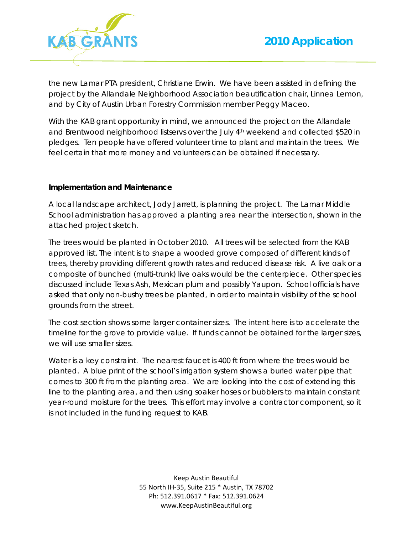

the new Lamar PTA president, Christiane Erwin. We have been assisted in defining the project by the Allandale Neighborhood Association beautification chair, Linnea Lemon, and by City of Austin Urban Forestry Commission member Peggy Maceo.

With the KAB grant opportunity in mind, we announced the project on the Allandale and Brentwood neighborhood listservs over the July 4th weekend and collected \$520 in pledges. Ten people have offered volunteer time to plant and maintain the trees. We feel certain that more money and volunteers can be obtained if necessary.

#### **Implementation and Maintenance**

A local landscape architect, Jody Jarrett, is planning the project. The Lamar Middle School administration has approved a planting area near the intersection, shown in the attached project sketch.

The trees would be planted in October 2010. All trees will be selected from the KAB approved list. The intent is to shape a wooded grove composed of different kinds of trees, thereby providing different growth rates and reduced disease risk. A live oak or a composite of bunched (multi-trunk) live oaks would be the centerpiece. Other species discussed include Texas Ash, Mexican plum and possibly Yaupon. School officials have asked that only non-bushy trees be planted, in order to maintain visibility of the school grounds from the street.

The cost section shows some larger container sizes. The intent here is to accelerate the timeline for the grove to provide value. If funds cannot be obtained for the larger sizes, we will use smaller sizes.

Water is a key constraint. The nearest faucet is 400 ft from where the trees would be planted. A blue print of the school's irrigation system shows a buried water pipe that comes to 300 ft from the planting area. We are looking into the cost of extending this line to the planting area, and then using soaker hoses or bubblers to maintain constant year-round moisture for the trees. This effort may involve a contractor component, so it is not included in the funding request to KAB.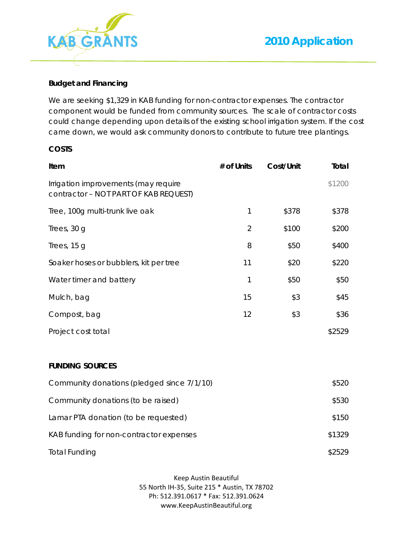

#### **Budget and Financing**

We are seeking \$1,329 in KAB funding for non-contractor expenses. The contractor component would be funded from community sources. The scale of contractor costs could change depending upon details of the existing school irrigation system. If the cost came down, we would ask community donors to contribute to future tree plantings.

#### **COSTS**

| Item                                                                          | # of Units     | Cost/Unit | Total  |
|-------------------------------------------------------------------------------|----------------|-----------|--------|
| Irrigation improvements (may require<br>contractor - NOT PART OF KAB REQUEST) |                |           | \$1200 |
| Tree, 100g multi-trunk live oak                                               | 1              | \$378     | \$378  |
| Trees, 30 g                                                                   | $\overline{2}$ | \$100     | \$200  |
| Trees, 15 g                                                                   | 8              | \$50      | \$400  |
| Soaker hoses or bubblers, kit per tree                                        | 11             | \$20      | \$220  |
| Water timer and battery                                                       | 1              | \$50      | \$50   |
| Mulch, bag                                                                    | 15             | \$3       | \$45   |
| Compost, bag                                                                  | 12             | \$3       | \$36   |
| Project cost total                                                            |                |           | \$2529 |
| <b>FUNDING SOURCES</b>                                                        |                |           |        |
| Community donations (pledged since 7/1/10)                                    |                |           | \$520  |
| Community donations (to be raised)                                            |                |           | \$530  |

| Latitudi Till vaolitation (to be reguested) | <b>viv</b> |
|---------------------------------------------|------------|
| KAB funding for non-contractor expenses     | \$1329     |
| Total Funding                               | \$2529     |

 $L = \frac{1}{2}$  amar PTA donation (to be requested)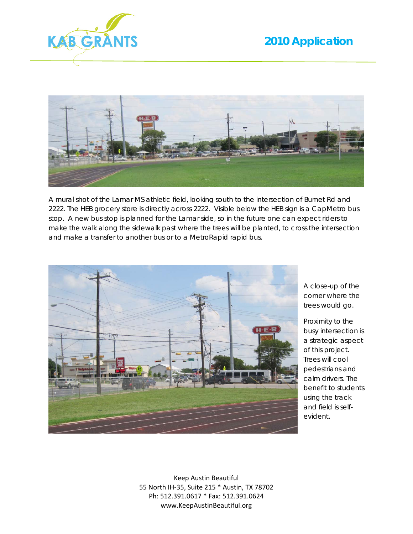



A mural shot of the Lamar MS athletic field, looking south to the intersection of Burnet Rd and 2222. The HEB grocery store is directly across 2222. Visible below the HEB sign is a CapMetro bus stop. A new bus stop is planned for the Lamar side, so in the future one can expect riders to make the walk along the sidewalk past where the trees will be planted, to cross the intersection and make a transfer to another bus or to a MetroRapid rapid bus.



A close-up of the corner where the trees would go.

Proximity to the busy intersection is a strategic aspect of this project. Trees will cool pedestrians and calm drivers. The benefit to students using the track and field is selfevident.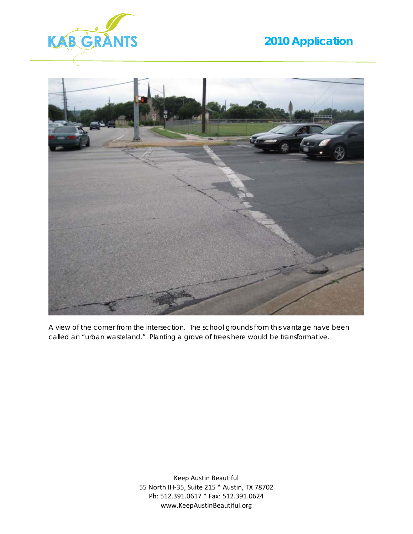



A view of the corner from the intersection. The school grounds from this vantage have been called an "urban wasteland." Planting a grove of trees here would be transformative.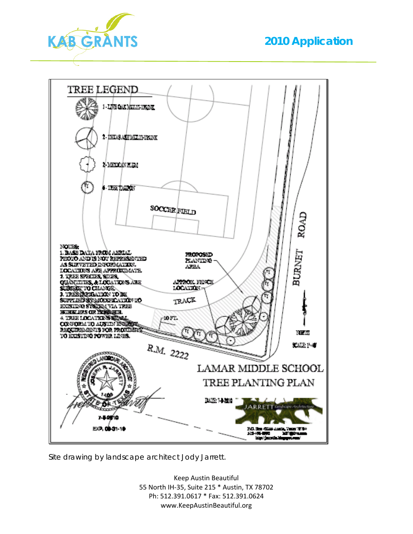



Site drawing by landscape architect Jody Jarrett.